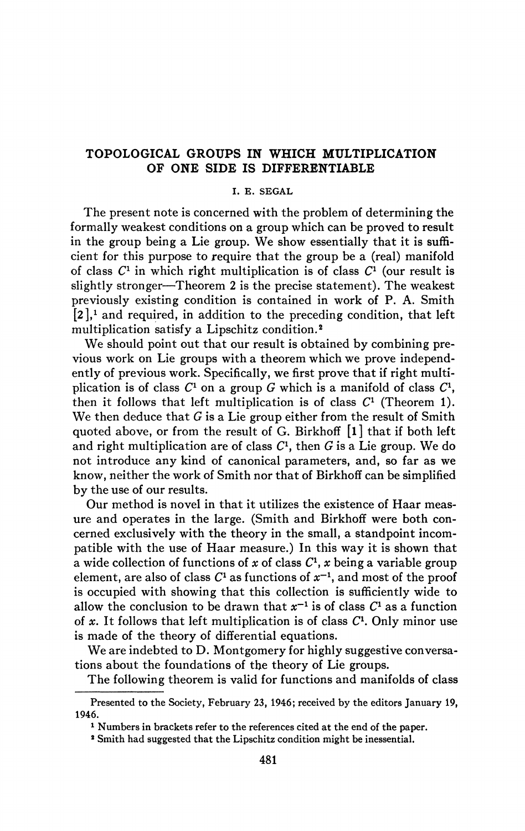## **TOPOLOGICAL GROUPS IN WHICH MULTIPLICATION OF ONE SIDE IS DIFFERENTIABLE**

## **I. E. SEGAL**

The present note is concerned with the problem of determining the formally weakest conditions on a group which can be proved to result in the group being a Lie group. We show essentially that it is sufficient for this purpose to require that the group be a (real) manifold of class  $C^1$  in which right multiplication is of class  $C^1$  (our result is slightly stronger—Theorem 2 is the precise statement). The weakest previously existing condition is contained in work of P. A. Smith  $[2]$ ,<sup>1</sup> and required, in addition to the preceding condition, that left multiplication satisfy a Lipschitz condition.<sup>2</sup>

We should point out that our result is obtained by combining previous work on Lie groups with a theorem which we prove independently of previous work. Specifically, we first prove that if right multiplication is of class  $C^1$  on a group  $G$  which is a manifold of class  $C^1$ , then it follows that left multiplication is of class  $C<sup>1</sup>$  (Theorem 1). We then deduce that  $G$  is a Lie group either from the result of Smith quoted above, or from the result of G. Birkhoff [l] that if both left and right multiplication are of class  $C<sup>1</sup>$ , then G is a Lie group. We do not introduce any kind of canonical parameters, and, so far as we know, neither the work of Smith nor that of Birkhoff can be simplified by the use of our results.

Our method is novel in that it utilizes the existence of Haar measure and operates in the large. (Smith and Birkhoff were both concerned exclusively with the theory in the small, a standpoint incompatible with the use of Haar measure.) In this way it is shown that a wide collection of functions of x of class  $C<sup>1</sup>$ , x being a variable group element, are also of class  $C^1$  as functions of  $x^{-1}$ , and most of the proof is occupied with showing that this collection is sufficiently wide to allow the conclusion to be drawn that  $x^{-1}$  is of class  $C^1$  as a function of  $x$ . It follows that left multiplication is of class  $C<sup>1</sup>$ . Only minor use is made of the theory of differential equations.

We are indebted to D. Montgomery for highly suggestive conversations about the foundations of the theory of Lie groups.

The following theorem is valid for functions and manifolds of class

Presented to the Society, February 23, 1946; received by the editors January 19, 1946.

<sup>&</sup>lt;sup>1</sup> Numbers in brackets refer to the references cited at the end of the paper.

<sup>2</sup> Smith had suggested that the Lipschitz condition might be inessential.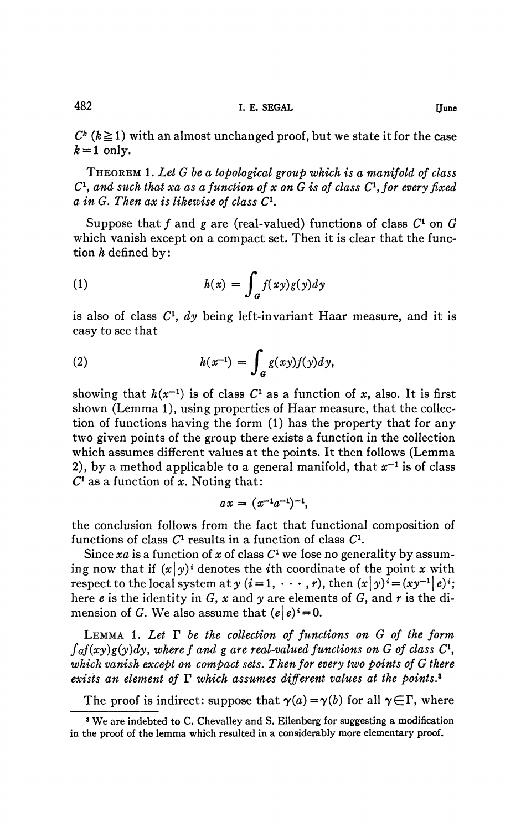$C^k$  ( $k \ge 1$ ) with an almost unchanged proof, but we state it for the case  $k=1$  only.

THEOREM 1. *Let G be a topological group which is a manifold of class*   $C$ <sup>1</sup>, and such that xa as a function of x on  $\tilde{G}$  is of class  $C$ <sup>1</sup>, for every fixed *a in G. Then ax is likewise of class C<sup>1</sup> .* 

Suppose that  $f$  and  $g$  are (real-valued) functions of class  $C^1$  on  $G$ which vanish except on a compact set. Then it is clear that the function  $h$  defined by:

(1) 
$$
h(x) = \int_{G} f(xy)g(y)dy
$$

is also of class C<sup>1</sup> , *dy* being left-invariant Haar measure, and it is easy to see that

(2) 
$$
h(x^{-1}) = \int_{a} g(xy)f(y)dy,
$$

showing that  $h(x^{-1})$  is of class  $C^1$  as a function of x, also. It is first shown (Lemma 1), using properties of Haar measure, that the collection of functions having the form (1) has the property that for any two given points of the group there exists a function in the collection which assumes different values at the points. It then follows (Lemma 2), by a method applicable to a general manifold, that  $x^{-1}$  is of class  $C^1$  as a function of x. Noting that:

$$
ax = (x^{-1}a^{-1})^{-1},
$$

the conclusion follows from the fact that functional composition of functions of class  $C<sup>1</sup>$  results in a function of class  $C<sup>1</sup>$ .

Since *xa* is a function of *x* of class *C<sup>1</sup>* we lose no generality by assuming now that if  $(x|y)^i$  denotes the *i*th coordinate of the point *x* with respect to the local system at  $y$  ( $i = 1, \dots, r$ ), then  $(x|y)^i = (xy^{-1}|e)^i$ ; here *e* is the identity in G, *x* and *y* are elements of G, and *r* is the dimension of G. We also assume that  $(e|e)^* = 0$ .

LEMMA 1. *Let T be the collection of functions on G of the form*   $\int_{G} f(xy)g(y)dy$ *, where f and g are real-valued functions on G of class C<sup>1</sup>, which vanish except on compact sets. Then for every two points of G there exists an element of T which assumes different values at the points.\** 

The proof is indirect: suppose that  $\gamma(a) = \gamma(b)$  for all  $\gamma \in \Gamma$ , where

**<sup>3</sup> We are indebted to C. Chevalley and S. Eilenberg for suggesting a modification in the proof of the lemma which resulted in a considerably more elementary proof.**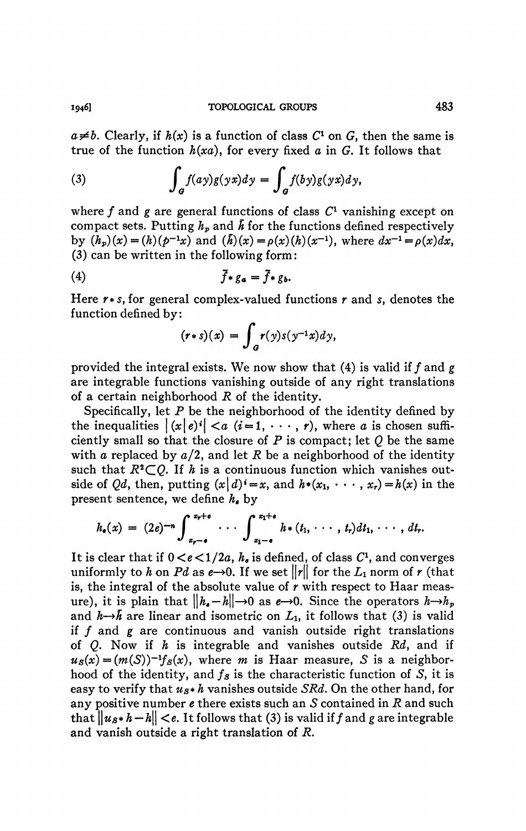$a \neq b$ . Clearly, if  $h(x)$  is a function of class  $C<sup>1</sup>$  on  $G$ , then the same is true of the function *h(xa),* for every fixed *a* in G. It follows that

(3) 
$$
\int_{a} f(ay)g(yx)dy = \int_{a} f(by)g(yx)dy,
$$

where  $f$  and  $g$  are general functions of class  $C<sup>1</sup>$  vanishing except on compact sets. Putting  $h_p$  and  $\bar{h}$  for the functions defined respectively by  $(h_p)(x) = (h)(p^{-1}x)$  and  $(h)(x) = \rho(x)(h)(x^{-1})$ , where  $dx^{-1} = \rho(x)dx$ , (3) can be written in the following form :

$$
\bar{f} * g_a = \bar{f} * g_b.
$$

Here *r\*s,* for general complex-valued functions *r* and *s,* denotes the function defined by:

$$
(r * s)(x) = \int_a r(y)s(y^{-1}x)dy,
$$

provided the integral exists. We now show that (4) is valid if ƒ and *g*  are integrable functions vanishing outside of any right translations of a certain neighborhood *R* of the identity.

Specifically, let *P* be the neighborhood of the identity defined by the inequalities  $|(x|e)^i| < a$   $(i=1,\dots,r)$ , where *a* is chosen sufficiently small so that the closure of *P* is compact; let *Q* be the same with *a* replaced by a/2, and let *R* be a neighborhood of the identity such that  $R^2 \subset Q$ . If h is a continuous function which vanishes outside of *Qd*, then, putting  $(x|d)^{i}=x$ , and  $h^{*}(x_1, \dots, x_r)=h(x)$  in the present sentence, we define *he* by

$$
h_{\bullet}(x) = (2e)^{-n} \int_{x_{r-\bullet}}^{x_{r+\bullet}} \cdots \int_{x_{1-\bullet}}^{x_{1+\bullet}} h_{*}(t_{1}, \cdots, t_{r}) dt_{1}, \cdots, dt_{r}.
$$

It is clear that if  $0 < e < 1/2a$ ,  $h_e$  is defined, of class  $C<sup>1</sup>$ , and converges uniformly to h on Pd as  $e\rightarrow 0$ . If we set  $||r||$  for the  $L_1$  norm of r (that is, the integral of the absolute value of *r* with respect to Haar measure), it is plain that  $\|h_e-h\|\to 0$  as  $e\to 0$ . Since the operators  $h\to h_p$ and  $h \rightarrow \bar{h}$  are linear and isometric on  $L_1$ , it follows that (3) is valid if ƒ and *g* are continuous and vanish outside right translations of *Q.* Now if *h* is integrable and vanishes outside *Rd}* and if  $u_s(x) = (m(S))^{-1} f_s(x)$ , where *m* is Haar measure, *S* is a neighborhood of the identity, and  $f_s$  is the characteristic function of S, it is easy to verify that *us\* h* vanishes outside *SRd.* On the other hand, for any positive number *e* there exists such an 5 contained in *R* and such that  $\|u_s * h - h\| < \epsilon$ . It follows that (3) is valid if f and g are integrable and vanish outside a right translation of *R.*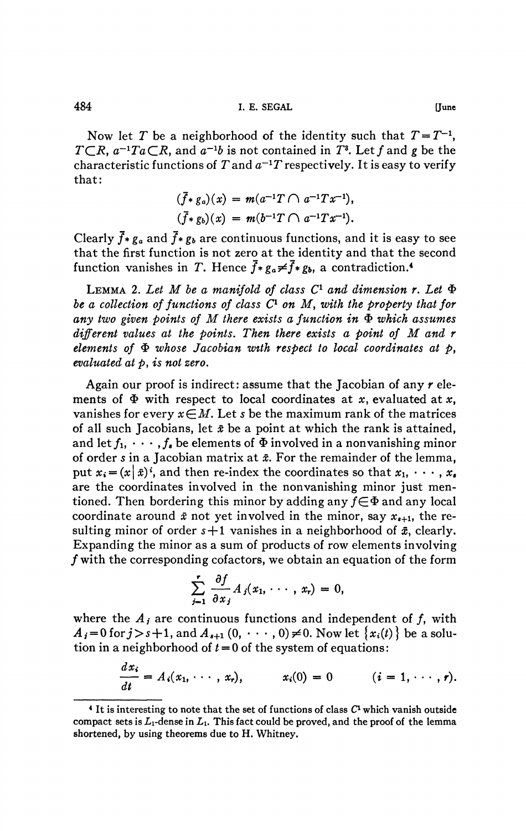Now let *T* be a neighborhood of the identity such that  $T = T^{-1}$ , *T* $\subset$ *R*,  $a^{-1}$ *T* $a$  $\subset$ *R*, and  $a^{-1}b$  is not contained in *T*<sup>3</sup>. Let *f* and *g* be the characteristic functions of  $T$  and  $a^{-1}T$  respectively. It is easy to verify that:

$$
(\bar{f} * g_a)(x) = m(a^{-1}T \cap a^{-1}Tx^{-1}),
$$
  
\n
$$
(\bar{f} * g_b)(x) = m(b^{-1}T \cap a^{-1}Tx^{-1}).
$$

Clearly  $\bar{f}$  \*  $g_a$  and  $\bar{f}$  \*  $g_b$  are continuous functions, and it is easy to see that the first function is not zero at the identity and that the second function vanishes in T. Hence  $\vec{f}$  \*  $g_a \neq \vec{f}$  \*  $g_b$ , a contradiction.<sup>4</sup>

LEMMA 2. Let M be a manifold of class  $C^1$  and dimension r. Let  $\Phi$ be a collection of functions of class  $C^1$  on M, with the property that for any two given points of M there exists a function in  $\Phi$  which assumes *different values at the points. Then there exists a point of M and r elements of*  $\Phi$  whose Jacobian with respect to local coordinates at  $\phi$ , *evaluated at p, is not zero.* 

Again our proof is indirect : assume that the Jacobian of any *r* elements of  $\Phi$  with respect to local coordinates at x, evaluated at x, vanishes for every  $x \in M$ . Let *s* be the maximum rank of the matrices of all such Jacobians, let  $\bar{x}$  be a point at which the rank is attained, and let  $f_1, \dots, f_s$  be elements of  $\Phi$  involved in a nonvanishing minor of order *s* in a Jacobian matrix at  $\bar{x}$ . For the remainder of the lemma, put  $x_i = (x \mid \bar{x})^i$ , and then re-index the coordinates so that  $x_1, \dots, x_i$ are the coordinates involved in the nonvanishing minor just mentioned. Then bordering this minor by adding any  $f \in \Phi$  and any local coordinate around  $\bar{x}$  not yet involved in the minor, say  $x_{s+1}$ , the resulting minor of order  $s+1$  vanishes in a neighborhood of  $\bar{x}$ , clearly. Expanding the minor as a sum of products of row elements involving ƒ with the corresponding cofactors, we obtain an equation of the form

$$
\sum_{j=1}^r \frac{\partial f}{\partial x_j} A_j(x_1, \cdots, x_r) = 0,
$$

where the  $A_j$  are continuous functions and independent of  $f$ , with  $A_i = 0$  for  $j>s+1$ , and  $A_{i+1}(0, \dots, 0) \neq 0$ . Now let  ${x_i(t)}$  be a solution in a neighborhood of  $t = 0$  of the system of equations:

$$
\frac{dx_i}{dt}=A_i(x_1,\cdots,x_r),\qquad x_i(0)=0\qquad (i=1,\cdots,r).
$$

**<sup>4</sup> It is interesting to note that the set of functions of class C<sup>1</sup> which vanish outside**  compact sets is  $L_1$ -dense in  $L_1$ . This fact could be proved, and the proof of the lemma **shortened, by using theorems due to H. Whitney.**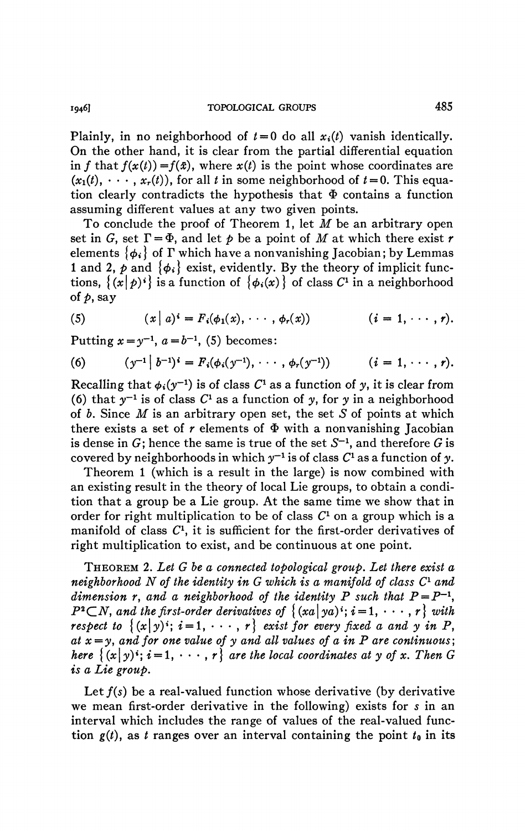Plainly, in no neighborhood of  $t = 0$  do all  $x_i(t)$  vanish identically. On the other hand, it is clear from the partial differential equation in f that  $f(x(t)) = f(\bar{x})$ , where  $x(t)$  is the point whose coordinates are  $(x_1(t), \dots, x_r(t))$ , for all *t* in some neighborhood of  $t = 0$ . This equation clearly contradicts the hypothesis that  $\Phi$  contains a function assuming different values at any two given points.

To conclude the proof of Theorem 1, let *M* be an arbitrary open set in G, set  $\Gamma = \Phi$ , and let  $\phi$  be a point of M at which there exist r elements  $\{\phi_i\}$  of  $\Gamma$  which have a nonvanishing Jacobian; by Lemmas 1 and 2,  $\phi$  and  $\{\phi_i\}$  exist, evidently. By the theory of implicit functions,  $\{(x|p)^i\}$  is a function of  $\{\phi_i(x)\}$  of class  $C^1$  in a neighborhood *of p,* say

(5) 
$$
(x | a)^i = F_i(\phi_1(x), \cdots, \phi_r(x)) \qquad (i = 1, \cdots, r).
$$

Putting  $x = y^{-1}$ ,  $a = b^{-1}$ , (5) becomes:

(6) 
$$
(y^{-1} | b^{-1})^i = F_i(\phi_i(y^{-1}), \cdots, \phi_r(y^{-1}))
$$
  $(i = 1, \cdots, r).$ 

Recalling that  $\phi_i(y^{-1})$  is of class  $C^1$  as a function of y, it is clear from (6) that  $y^{-1}$  is of class  $C^1$  as a function of y, for y in a neighborhood of  $b$ . Since  $M$  is an arbitrary open set, the set  $S$  of points at which there exists a set of  $r$  elements of  $\Phi$  with a nonvanishing Jacobian is dense in  $G$ ; hence the same is true of the set  $S^{-1}$ , and therefore  $G$  is covered by neighborhoods in which  $y^{-1}$  is of class  $C^1$  as a function of y.

Theorem 1 (which is a result in the large) is now combined with an existing result in the theory of local Lie groups, to obtain a condition that a group be a Lie group. At the same time we show that in order for right multiplication to be of class  $C<sup>1</sup>$  on a group which is a manifold of class  $C<sup>1</sup>$ , it is sufficient for the first-order derivatives of right multiplication to exist, and be continuous at one point.

THEOREM 2. *Let G be a connected topological group. Let there exist a neighborhood N of the identity in G which is a manifold of class C<sup>l</sup> and dimension r, and a neighborhood of the identity P such that*  $P = P^{-1}$ *,*  $P^2 \subset N$ , and the first-order derivatives of  $\{(xa\mid ya)^i; i = 1, \dots, r\}$  with *respect to*  $\{(x|y)^i; i = 1, \dots, r\}$  *exist for every fixed a and y in P,*  $at x = y$ , and for one value of y and all values of a in P are continuous; *here*  $\{(x|y) \cdot : i = 1, \dots, r\}$  *are the local coordinates at y of x. Then G is a Lie group.* 

Let  $f(s)$  be a real-valued function whose derivative (by derivative we mean first-order derivative in the following) exists for s in an interval which includes the range of values of the real-valued function  $g(t)$ , as *t* ranges over an interval containing the point  $t_0$  in its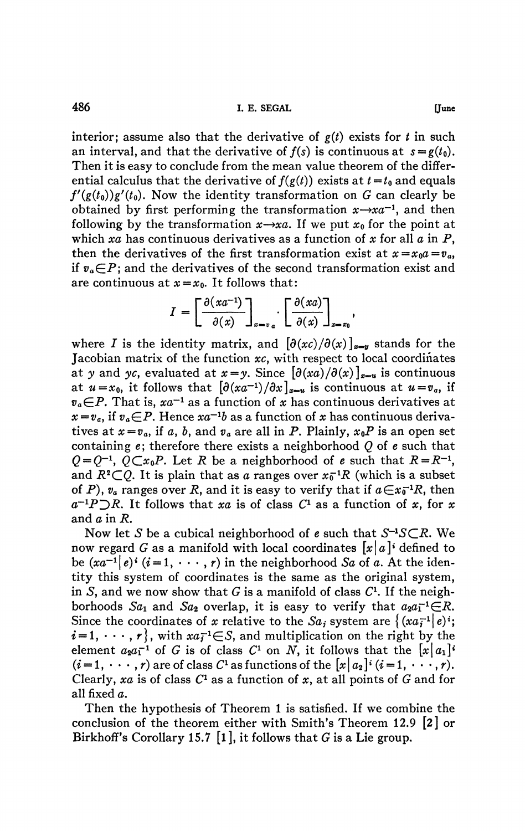interior; assume also that the derivative of  $g(t)$  exists for *t* in such an interval, and that the derivative of  $f(s)$  is continuous at  $s = g(t_0)$ . Then it is easy to conclude from the mean value theorem of the differential calculus that the derivative of  $f(g(t))$  exists at  $t = t_0$  and equals  $f'(g(t_0))g'(t_0)$ . Now the identity transformation on G can clearly be obtained by first performing the transformation  $x \rightarrow x a^{-1}$ , and then following by the transformation  $x \rightarrow xa$ . If we put  $x_0$  for the point at which *xa* has continuous derivatives as a function of *x* for all *a* in P, then the derivatives of the first transformation exist at  $x = x_0 a = v_a$ , if  $v_a \in P$ ; and the derivatives of the second transformation exist and are continuous at  $x=x_0$ . It follows that:

$$
I = \left[\frac{\partial (xa^{-1})}{\partial (x)}\right]_{x=y_a} \cdot \left[\frac{\partial (xa)}{\partial (x)}\right]_{x=z_0},
$$

where *I* is the identity matrix, and  $[\partial (xc)/\partial (x)]_{x=y}$  stands for the Jacobian matrix of the function *xc,* with respect to local coordinates at y and yc, evaluated at  $x=y$ . Since  $[\partial (xa)/\partial (x)]_{x=u}$  is continuous at  $u=x_0$ , it follows that  $\left[\frac{\partial (xa^{-1})}{\partial x}\right]_{x=u}$  is continuous at  $u=v_a$ , if  $v_a \in P$ . That is,  $xa^{-1}$  as a function of x has continuous derivatives at  $x = v_a$ , if  $v_a \in P$ . Hence  $xa^{-1}b$  as a function of x has continuous derivatives at  $x = v_a$ , if a, b, and  $v_a$  are all in P. Plainly,  $x_0 P$  is an open set containing *e;* therefore there exists a neighborhood *Q* of *e* such that  $Q = Q^{-1}$ ,  $\overline{Q} \subset x_0 P$ . Let *R* be a neighborhood of *e* such that  $R = R^{-1}$ , and  $R^2 \subset Q$ . It is plain that as a ranges over  $x_0^{-1}R$  (which is a subset of P),  $v_a$  ranges over R, and it is easy to verify that if  $a \in x_0^{-1}R$ , then  $a^{-1}P\supset R$ . It follows that xa is of class  $C^1$  as a function of x, for x and  $a$  in  $R$ .

Now let S be a cubical neighborhood of *e* such that S<sup>-1</sup>S⊂R. We now regard G as a manifold with local coordinates  $[x|a]$ <sup>t</sup> defined to be  $(xa^{-1}|e)^i$   $(i = 1, \cdots, r)$  in the neighborhood *Sa* of a. At the identity this system of coordinates is the same as the original system, in S, and we now show that  $G$  is a manifold of class  $C<sup>1</sup>$ . If the neighborhoods  $Sa_1$  and  $Sa_2$  overlap, it is easy to verify that  $a_2a_1^{-1}\in\mathbb{R}$ . Since the coordinates of x relative to the Sa, system are  $\{(xa_i^{-1}|e)^i\}$  $i = 1, \dots, r$ , with  $xa_i^{-1} \in S$ , and multiplication on the right by the element  $a_2a_1^{-1}$  of G is of class  $C^1$  on N, it follows that the  $[x|a_1]^T$  $(i = 1, \dots, r)$  are of class  $C^1$  as functions of the  $[x | a_2]^i$   $(i = 1, \dots, r)$ . Clearly, xa is of class  $C^1$  as a function of x, at all points of G and for all fixed a.

Then the hypothesis of Theorem 1 is satisfied. If we combine the conclusion of the theorem either with Smith's Theorem 12.9 **[2]** or Birkhoff's Corollary 15.7 [1], it follows that G is a Lie group.